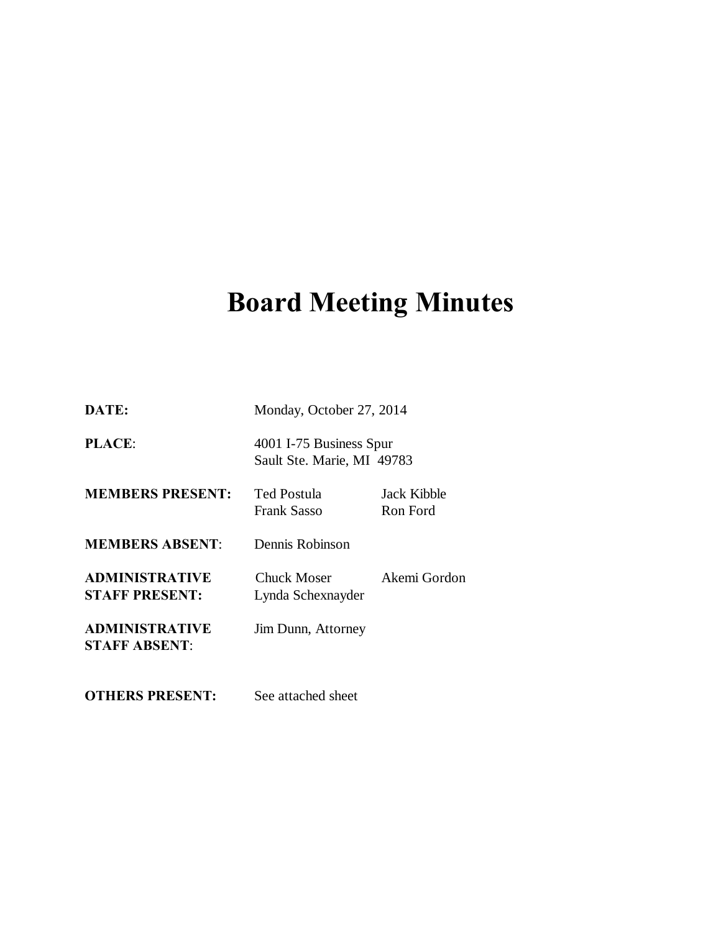# **Board Meeting Minutes**

| DATE:                                          | Monday, October 27, 2014                              |                         |
|------------------------------------------------|-------------------------------------------------------|-------------------------|
| <b>PLACE:</b>                                  | 4001 I-75 Business Spur<br>Sault Ste. Marie, MI 49783 |                         |
| <b>MEMBERS PRESENT:</b>                        | <b>Ted Postula</b><br><b>Frank Sasso</b>              | Jack Kibble<br>Ron Ford |
| <b>MEMBERS ABSENT:</b>                         | Dennis Robinson                                       |                         |
| <b>ADMINISTRATIVE</b><br><b>STAFF PRESENT:</b> | Chuck Moser<br>Lynda Schexnayder                      | Akemi Gordon            |
| <b>ADMINISTRATIVE</b><br><b>STAFF ABSENT:</b>  | Jim Dunn, Attorney                                    |                         |
| <b>OTHERS PRESENT:</b>                         | See attached sheet                                    |                         |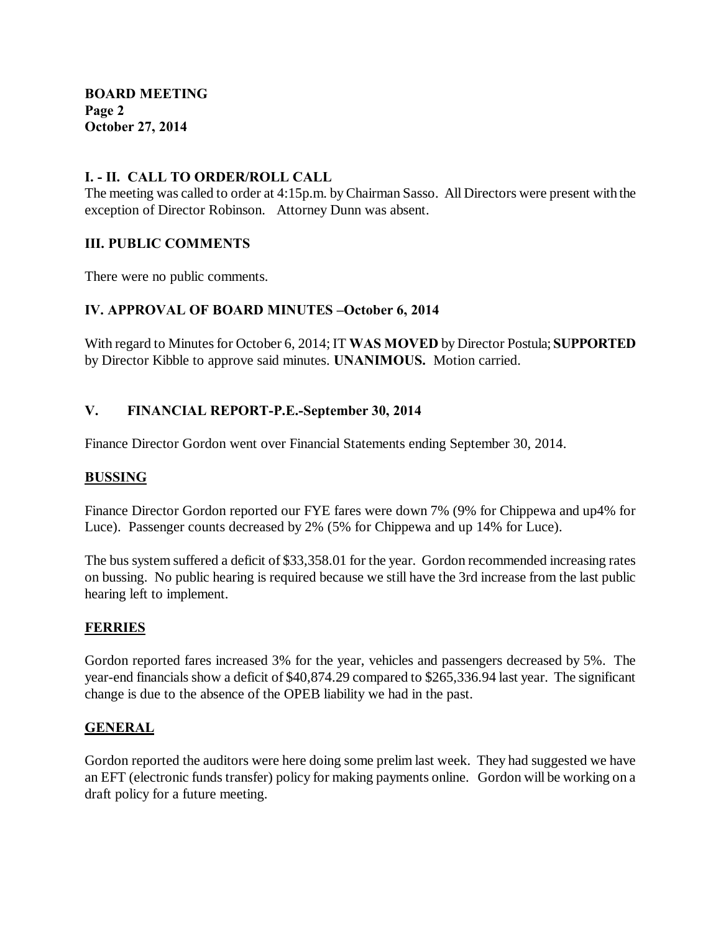#### **I. - II. CALL TO ORDER/ROLL CALL**

The meeting was called to order at 4:15p.m. by Chairman Sasso. All Directors were present with the exception of Director Robinson. Attorney Dunn was absent.

#### **III. PUBLIC COMMENTS**

There were no public comments.

# **IV. APPROVAL OF BOARD MINUTES –October 6, 2014**

With regard to Minutes for October 6, 2014; IT **WAS MOVED** by Director Postula; **SUPPORTED**  by Director Kibble to approve said minutes. **UNANIMOUS.** Motion carried.

# **V. FINANCIAL REPORT-P.E.-September 30, 2014**

Finance Director Gordon went over Financial Statements ending September 30, 2014.

#### **BUSSING**

Finance Director Gordon reported our FYE fares were down 7% (9% for Chippewa and up4% for Luce). Passenger counts decreased by 2% (5% for Chippewa and up 14% for Luce).

The bus system suffered a deficit of \$33,358.01 for the year. Gordon recommended increasing rates on bussing. No public hearing is required because we still have the 3rd increase from the last public hearing left to implement.

# **FERRIES**

Gordon reported fares increased 3% for the year, vehicles and passengers decreased by 5%. The year-end financials show a deficit of \$40,874.29 compared to \$265,336.94 last year. The significant change is due to the absence of the OPEB liability we had in the past.

#### **GENERAL**

Gordon reported the auditors were here doing some prelim last week. They had suggested we have an EFT (electronic funds transfer) policy for making payments online. Gordon will be working on a draft policy for a future meeting.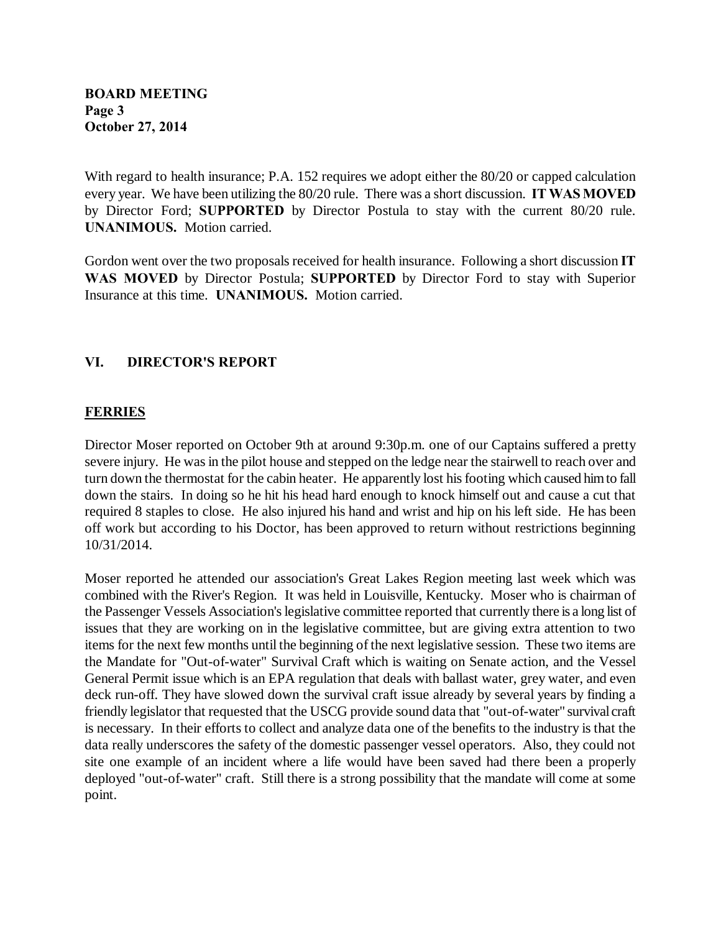With regard to health insurance; P.A. 152 requires we adopt either the 80/20 or capped calculation every year. We have been utilizing the 80/20 rule. There was a short discussion. **IT WAS MOVED** by Director Ford; **SUPPORTED** by Director Postula to stay with the current 80/20 rule. **UNANIMOUS.** Motion carried.

Gordon went over the two proposals received for health insurance. Following a short discussion **IT WAS MOVED** by Director Postula; **SUPPORTED** by Director Ford to stay with Superior Insurance at this time. **UNANIMOUS.** Motion carried.

# **VI. DIRECTOR'S REPORT**

# **FERRIES**

Director Moser reported on October 9th at around 9:30p.m. one of our Captains suffered a pretty severe injury. He was in the pilot house and stepped on the ledge near the stairwell to reach over and turn down the thermostat for the cabin heater. He apparently lost his footing which caused him to fall down the stairs. In doing so he hit his head hard enough to knock himself out and cause a cut that required 8 staples to close. He also injured his hand and wrist and hip on his left side. He has been off work but according to his Doctor, has been approved to return without restrictions beginning 10/31/2014.

Moser reported he attended our association's Great Lakes Region meeting last week which was combined with the River's Region. It was held in Louisville, Kentucky. Moser who is chairman of the Passenger Vessels Association's legislative committee reported that currently there is a long list of issues that they are working on in the legislative committee, but are giving extra attention to two items for the next few months until the beginning of the next legislative session. These two items are the Mandate for "Out-of-water" Survival Craft which is waiting on Senate action, and the Vessel General Permit issue which is an EPA regulation that deals with ballast water, grey water, and even deck run-off. They have slowed down the survival craft issue already by several years by finding a friendly legislator that requested that the USCG provide sound data that "out-of-water" survival craft is necessary. In their efforts to collect and analyze data one of the benefits to the industry is that the data really underscores the safety of the domestic passenger vessel operators. Also, they could not site one example of an incident where a life would have been saved had there been a properly deployed "out-of-water" craft. Still there is a strong possibility that the mandate will come at some point.